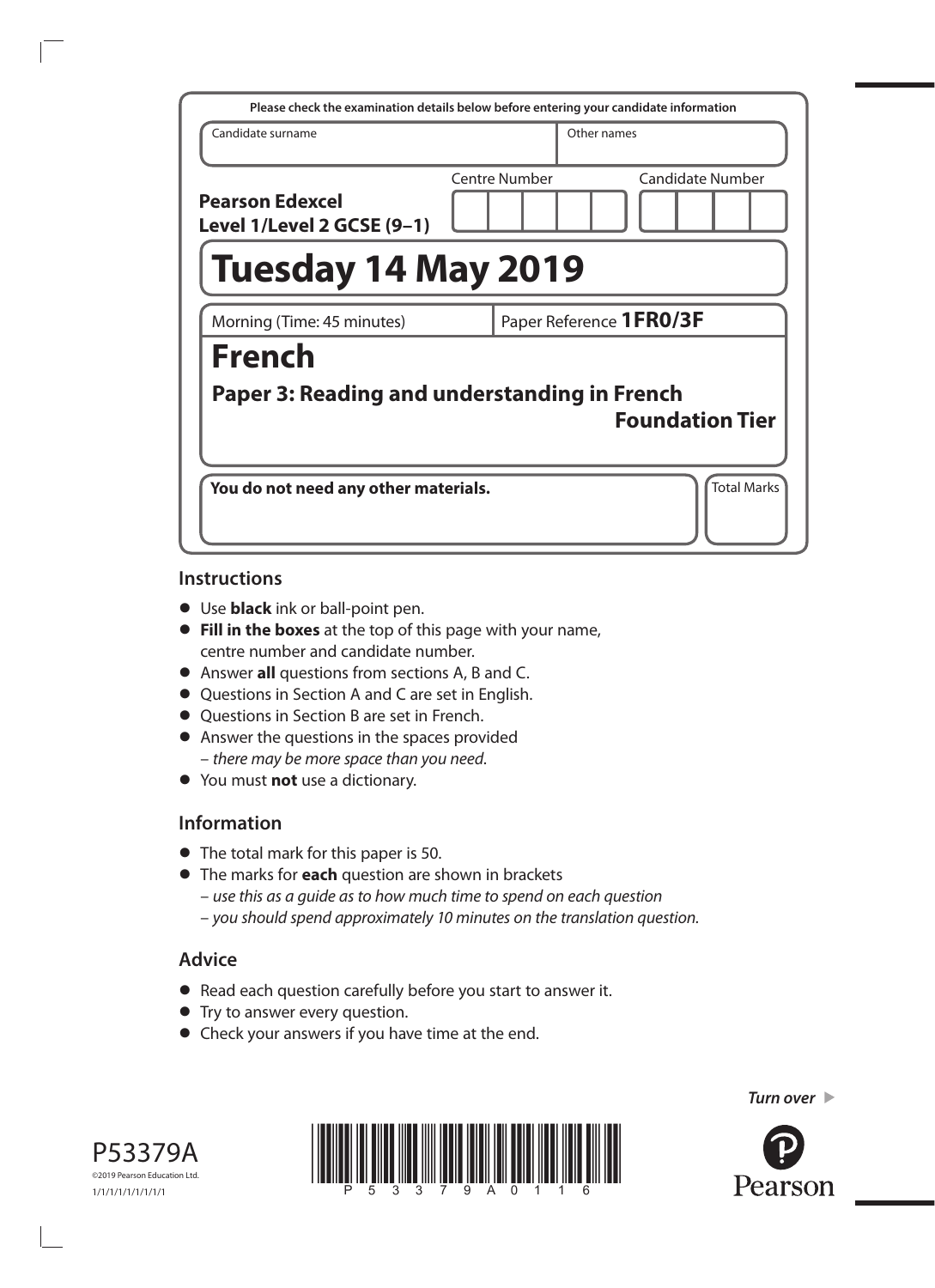| Please check the examination details below before entering your candidate information |               |                         |
|---------------------------------------------------------------------------------------|---------------|-------------------------|
| Candidate surname                                                                     |               | Other names             |
| <b>Pearson Edexcel</b><br>Level 1/Level 2 GCSE (9-1)<br><b>Tuesday 14 May 2019</b>    | Centre Number | <b>Candidate Number</b> |
| Morning (Time: 45 minutes)                                                            |               | Paper Reference 1FR0/3F |
| <b>French</b>                                                                         |               |                         |
| Paper 3: Reading and understanding in French                                          |               |                         |
|                                                                                       |               | <b>Foundation Tier</b>  |
|                                                                                       |               |                         |
| You do not need any other materials.                                                  |               | <b>Total Marks</b>      |

### **Instructions**

- **•** Use **black** ink or ball-point pen.
- **• Fill in the boxes** at the top of this page with your name, centre number and candidate number.
- **•** Answer **all** questions from sections A, B and C.
- **•** Questions in Section A and C are set in English.
- **•** Questions in Section B are set in French.
- **•** Answer the questions in the spaces provided – *there may be more space than you need*.
- **•** You must **not** use a dictionary.

### **Information**

- **•** The total mark for this paper is 50.
- **•** The marks for **each** question are shown in brackets
	- *use this as a guide as to how much time to spend on each question*
	- *you should spend approximately 10 minutes on the translation question.*

# **Advice**

- **•** Read each question carefully before you start to answer it.
- **•** Try to answer every question.
- **•** Check your answers if you have time at the end.





*Turn over* 

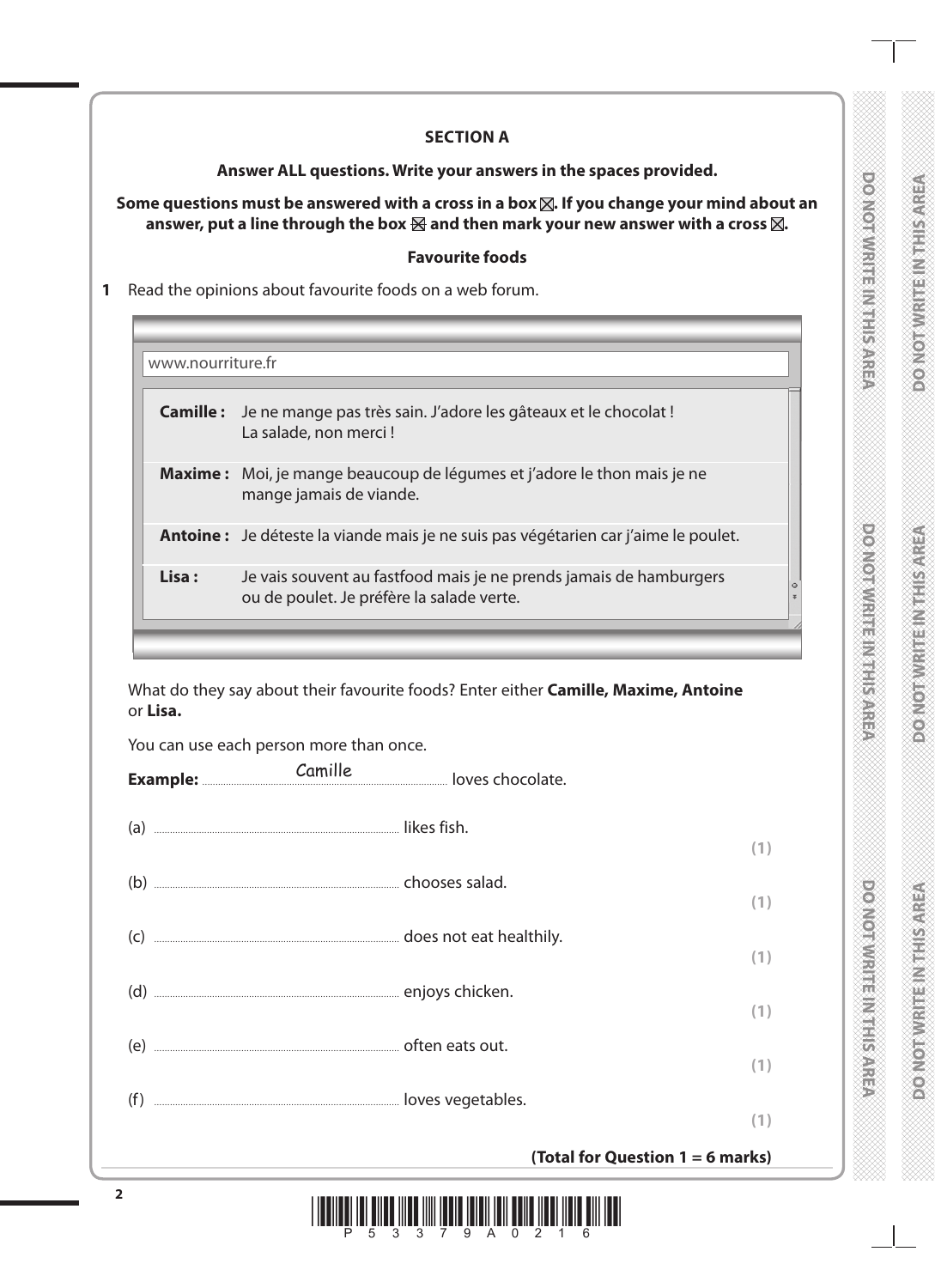**DOMORATIVE INTERNATIONS** 

**PERMIT AND ARRIVE STATES AND A** 

**DOMORATION ENVIRONMENT** 

### **SECTION A**

**Answer ALL questions. Write your answers in the spaces provided.**

Some questions must be answered with a cross in a box  $\boxtimes$ . If you change your mind about an answer, put a line through the box  $\boxtimes$  and then mark your new answer with a cross  $\boxtimes$ .

### **Favourite foods**

**1** Read the opinions about favourite foods on a web forum.

www.nourriture.fr

**Camille :** Je ne mange pas très sain. J'adore les gâteaux et le chocolat ! La salade, non merci !

**Maxime :** Moi, je mange beaucoup de légumes et j'adore le thon mais je ne mange jamais de viande.

**Antoine :** Je déteste la viande mais je ne suis pas végétarien car j'aime le poulet.

**Lisa :** Je vais souvent au fastfood mais je ne prends jamais de hamburgers ou de poulet. Je préfère la salade verte.

What do they say about their favourite foods? Enter either **Camille, Maxime, Antoine**  or **Lisa.**

You can use each person more than once.

**Example:** ............................................................................................. loves chocolate. Camille

| (a) <b>Marine Marine (a)</b> Iikes fish. |  |
|------------------------------------------|--|
|                                          |  |
|                                          |  |
|                                          |  |
|                                          |  |
|                                          |  |
|                                          |  |



**(Total for Question 1 = 6 marks)**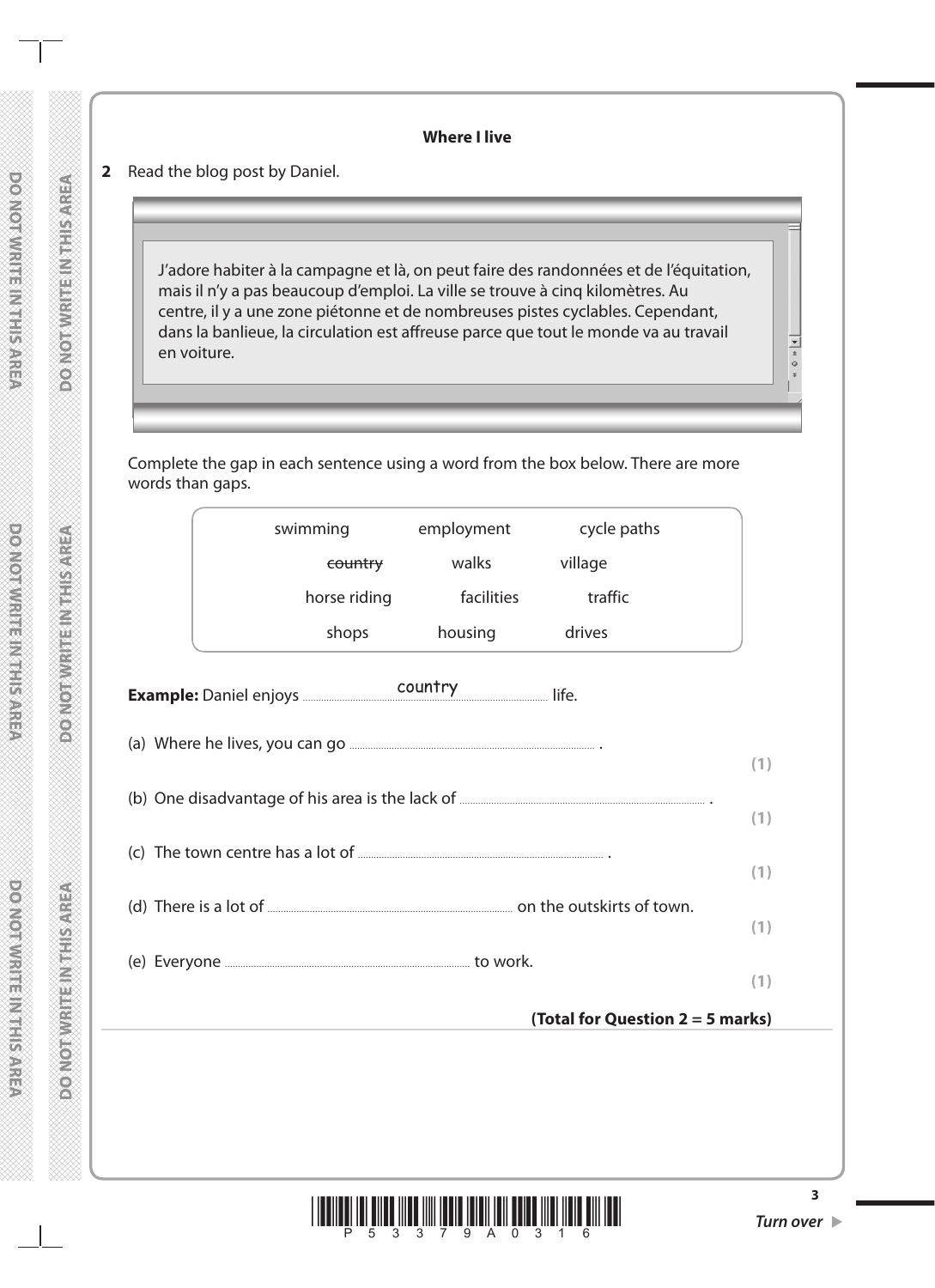### **Where I live**

### **2** Read the blog post by Daniel.

J'adore habiter à la campagne et là, on peut faire des randonnées et de l'équitation, mais il n'y a pas beaucoup d'emploi. La ville se trouve à cinq kilomètres. Au centre, il y a une zone piétonne et de nombreuses pistes cyclables. Cependant, dans la banlieue, la circulation est affreuse parce que tout le monde va au travail en voiture.

Complete the gap in each sentence using a word from the box below. There are more words than gaps.

| swimming           | employment | cycle paths                      |     |
|--------------------|------------|----------------------------------|-----|
| <del>country</del> | walks      | village                          |     |
| horse riding       | facilities | traffic                          |     |
| shops              | housing    | drives                           |     |
|                    |            |                                  |     |
|                    |            |                                  | (1) |
|                    |            |                                  | (1) |
|                    |            |                                  | (1) |
|                    |            |                                  | (1) |
|                    |            |                                  | (1) |
|                    |            | (Total for Question 2 = 5 marks) |     |



 $\begin{array}{c} 1 \rightarrow 0 \rightarrow 0 \end{array}$ 

**DO NOTWRITEINITISAREA** 

**DOMOTAWHEEMAHISTARE** 

**DOMOTWRITEINTHIS AREA**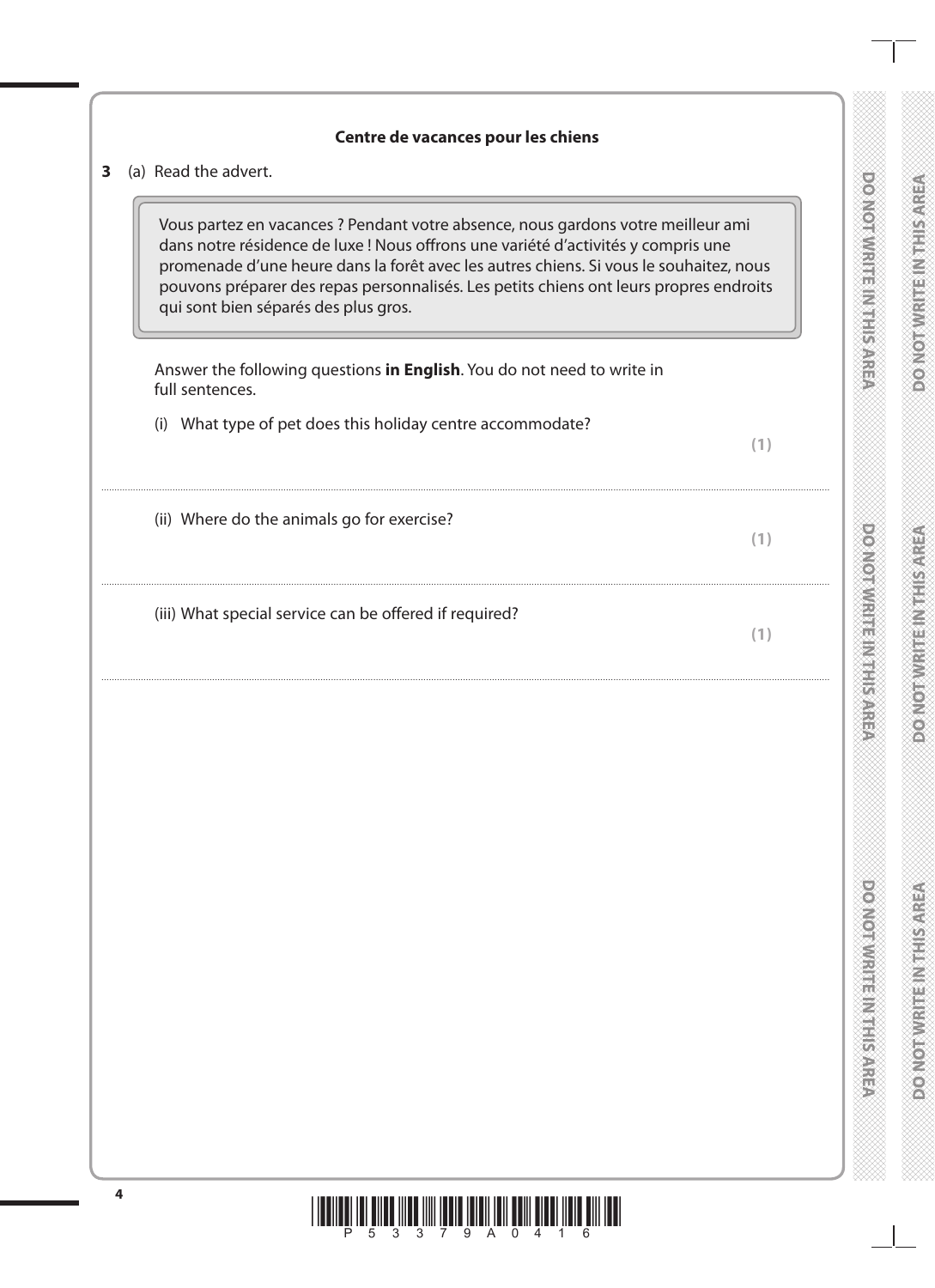**3** (a) Read the advert.

Vous partez en vacances ? Pendant votre absence, nous gardons votre meilleur ami dans notre résidence de luxe ! Nous offrons une variété d'activités y compris une promenade d'une heure dans la forêt avec les autres chiens. Si vous le souhaitez, nous pouvons préparer des repas personnalisés. Les petits chiens ont leurs propres endroits qui sont bien séparés des plus gros.

....................................................................................................................................................................................................................................................................................

....................................................................................................................................................................................................................................................................................

....................................................................................................................................................................................................................................................................................

 Answer the following questions **in English**. You do not need to write in full sentences.

(i) What type of pet does this holiday centre accommodate?

(ii) Where do the animals go for exercise?

(iii) What special service can be offered if required?

**PERMIT AND ARREST ASSESSED** 

**PORTOR WEBSTERS** 

**DONOS REPORTS NO PROTECT** 

**RECIVED IN THE REPORT OF STRONG** 

**(1)**

**(1)**

**(1)**

**DO NOT MARKET AND A STREET STREET** 

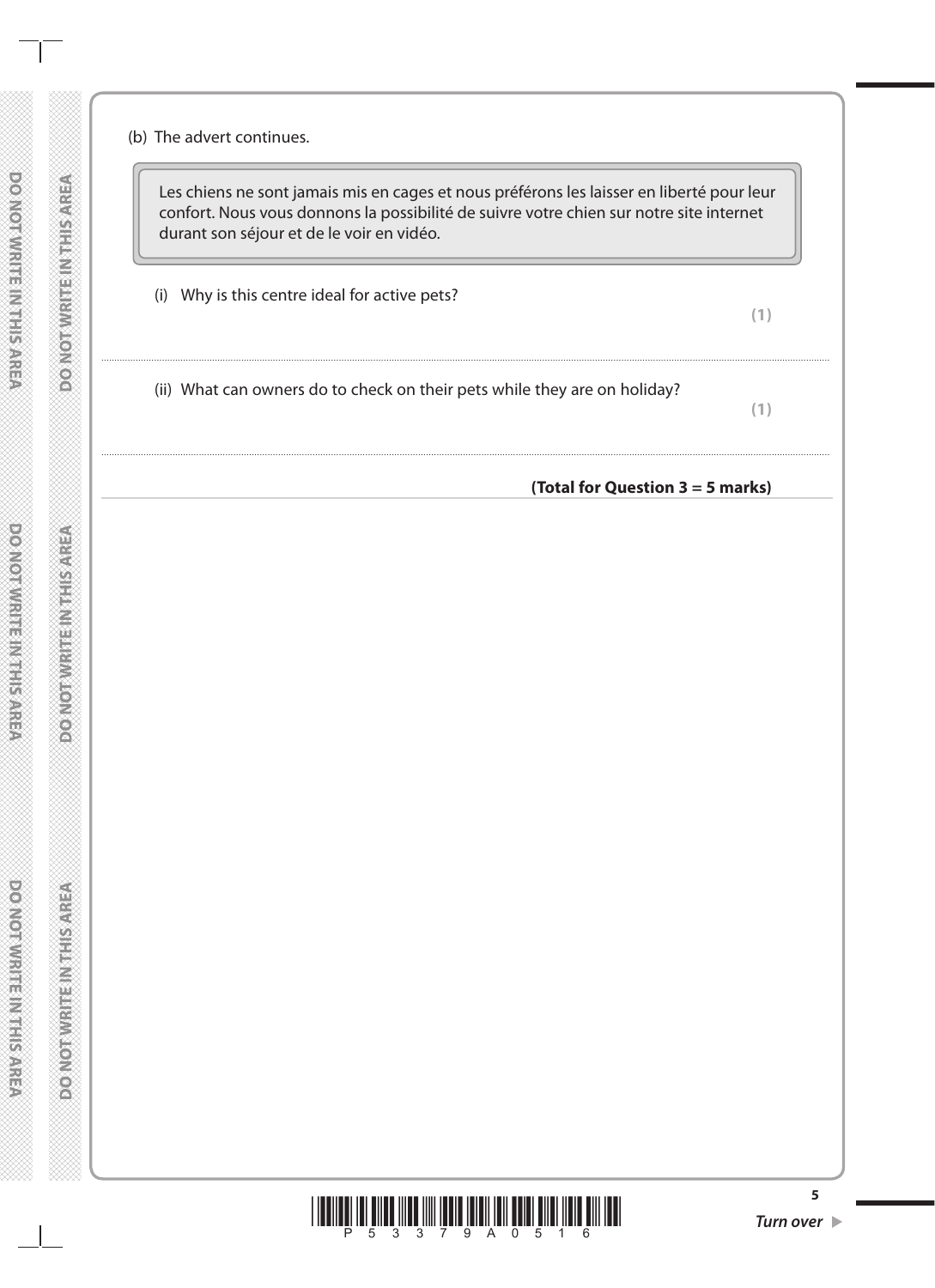Les chiens ne sont jamais mis en cages et nous préférons les laisser en liberté pour leur confort. Nous vous donnons la possibilité de suivre votre chien sur notre site internet durant son séjour et de le voir en vidéo.

....................................................................................................................................................................................................................................................................................

....................................................................................................................................................................................................................................................................................

(i) Why is this centre ideal for active pets?

**(1)**

(ii) What can owners do to check on their pets while they are on holiday?

**(1)**

**(Total for Question 3 = 5 marks)**



**5**

医白色

**DO NOTIVELE HNTHS** 

DONORMARTE INTELES AREA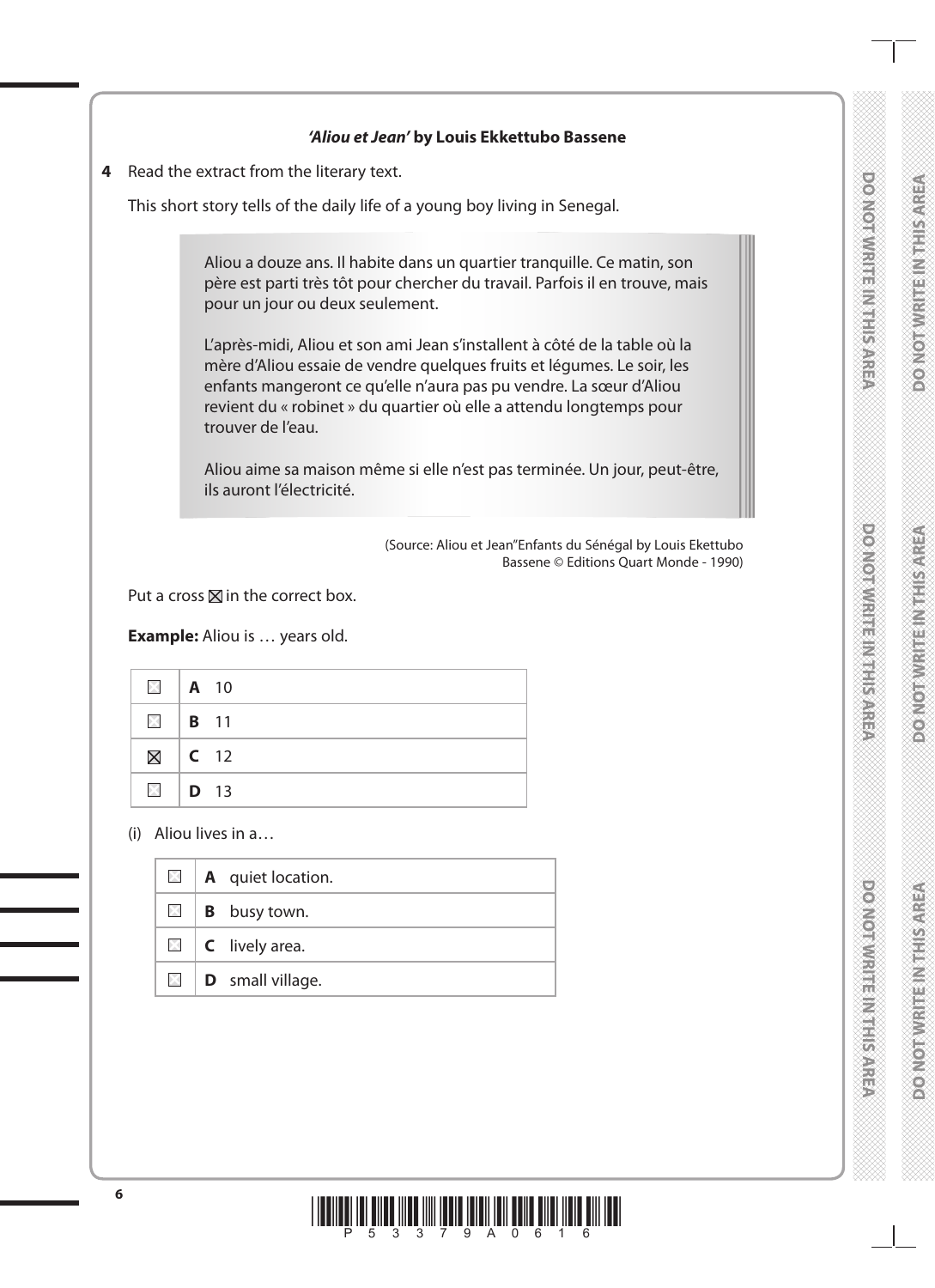**DONOING INSTRUCTS** 

**PONDED MELTING STATE** 

**DO NOTARRA EL SERVERENTE** 

# *'Aliou et Jean'* **by Louis Ekkettubo Bassene**

**4** Read the extract from the literary text.

This short story tells of the daily life of a young boy living in Senegal.

Aliou a douze ans. Il habite dans un quartier tranquille. Ce matin, son père est parti très tôt pour chercher du travail. Parfois il en trouve, mais pour un jour ou deux seulement.

L'après-midi, Aliou et son ami Jean s'installent à côté de la table où la mère d'Aliou essaie de vendre quelques fruits et légumes. Le soir, les enfants mangeront ce qu'elle n'aura pas pu vendre. La sœur d'Aliou revient du « robinet » du quartier où elle a attendu longtemps pour trouver de l'eau.

Aliou aime sa maison même si elle n'est pas terminée. Un jour, peut-être, ils auront l'électricité.

> (Source: Aliou et Jean"Enfants du Sénégal by Louis Ekettubo Bassene © Editions Quart Monde - 1990)

Put a cross  $\boxtimes$  in the correct box.

**Example:** Aliou is … years old.

| $\blacksquare$   A 10  |  |
|------------------------|--|
| <b>X</b>   <b>B</b> 11 |  |
| $\boxtimes$   C 12     |  |
| <b>E</b>   <b>D</b> 13 |  |

(i) Aliou lives in a…

| $\Box$   <b>A</b> quiet location. |
|-----------------------------------|
| $\boxtimes$   <b>B</b> busy town. |
| $\Box$ <b>C</b> lively area.      |
| $\Box$ <b>D</b> small village.    |

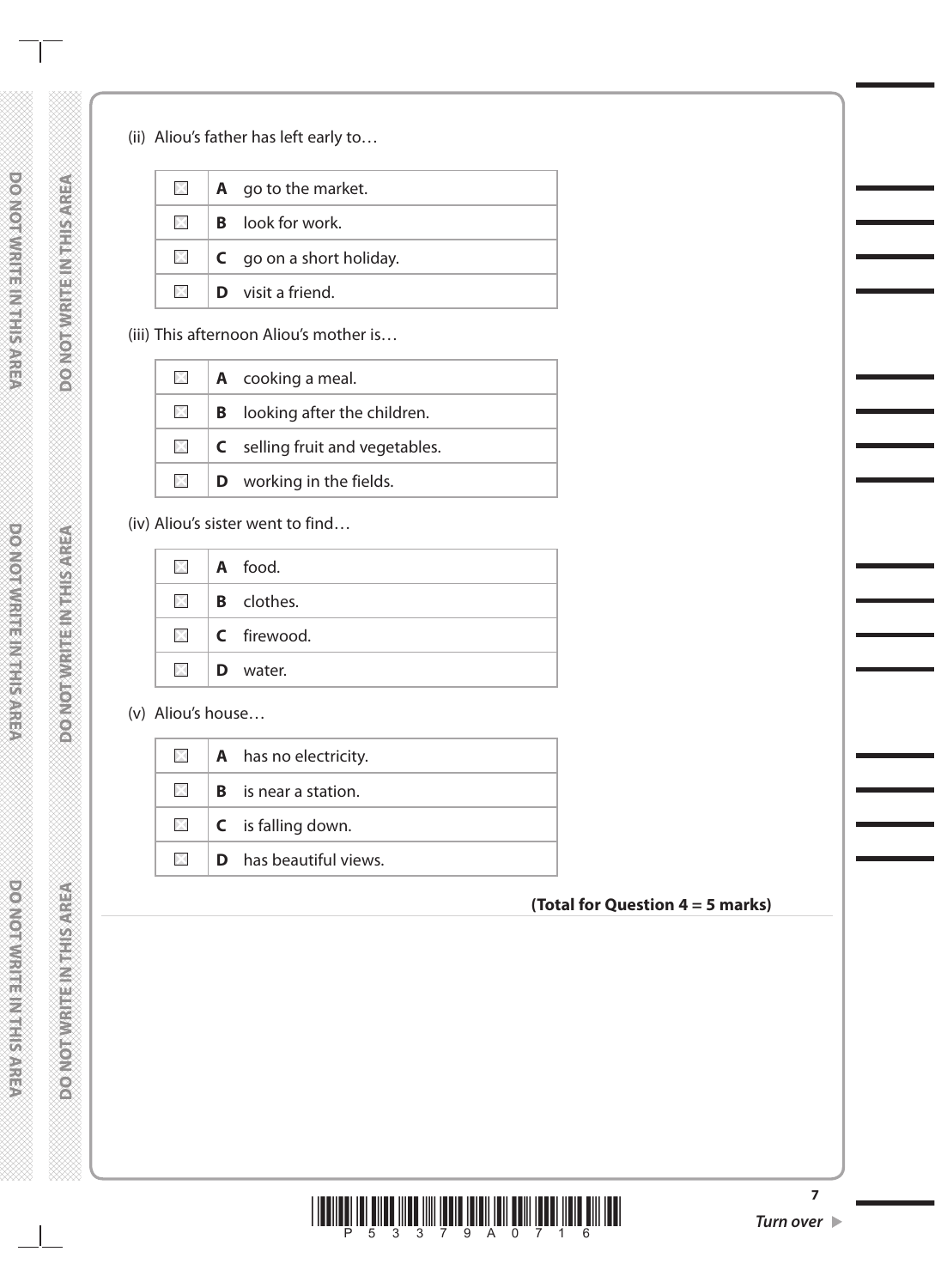(ii) Aliou's father has left early to…

|  | $\Box$   <b>A</b> go to the market.    |
|--|----------------------------------------|
|  | $\boxtimes$ <b>B</b> look for work.    |
|  | $\Box$ <b>C</b> go on a short holiday. |
|  | $\Box$ <b>D</b> visit a friend.        |
|  |                                        |

(iii) This afternoon Aliou's mother is…

| $\times$ | <b>A</b> cooking a meal.               |
|----------|----------------------------------------|
| $\times$ | <b>B</b> looking after the children.   |
| $\times$ | <b>C</b> selling fruit and vegetables. |
| $\times$ | <b>D</b> working in the fields.        |
|          |                                        |

(iv) Aliou's sister went to find…

|          | $\blacksquare$   A food.      |
|----------|-------------------------------|
|          | $\boxtimes$ <b>B</b> clothes. |
|          | $\Box$   <b>C</b> firewood.   |
| $\times$ | <b>D</b> water.               |

(v) Aliou's house…

|          | $\Box$   <b>A</b> has no electricity.   |
|----------|-----------------------------------------|
|          | $\boxtimes$ <b>B</b> is near a station. |
|          | $\Box$ <b>C</b> is falling down.        |
| $\times$ | <b>D</b> has beautiful views.           |

**(Total for Question 4 = 5 marks)**



**DO NOTWRITEINITE SAFE** 

**DOMORWATE INSTRUCTION** 

**DONOTHER HERRICHONGO**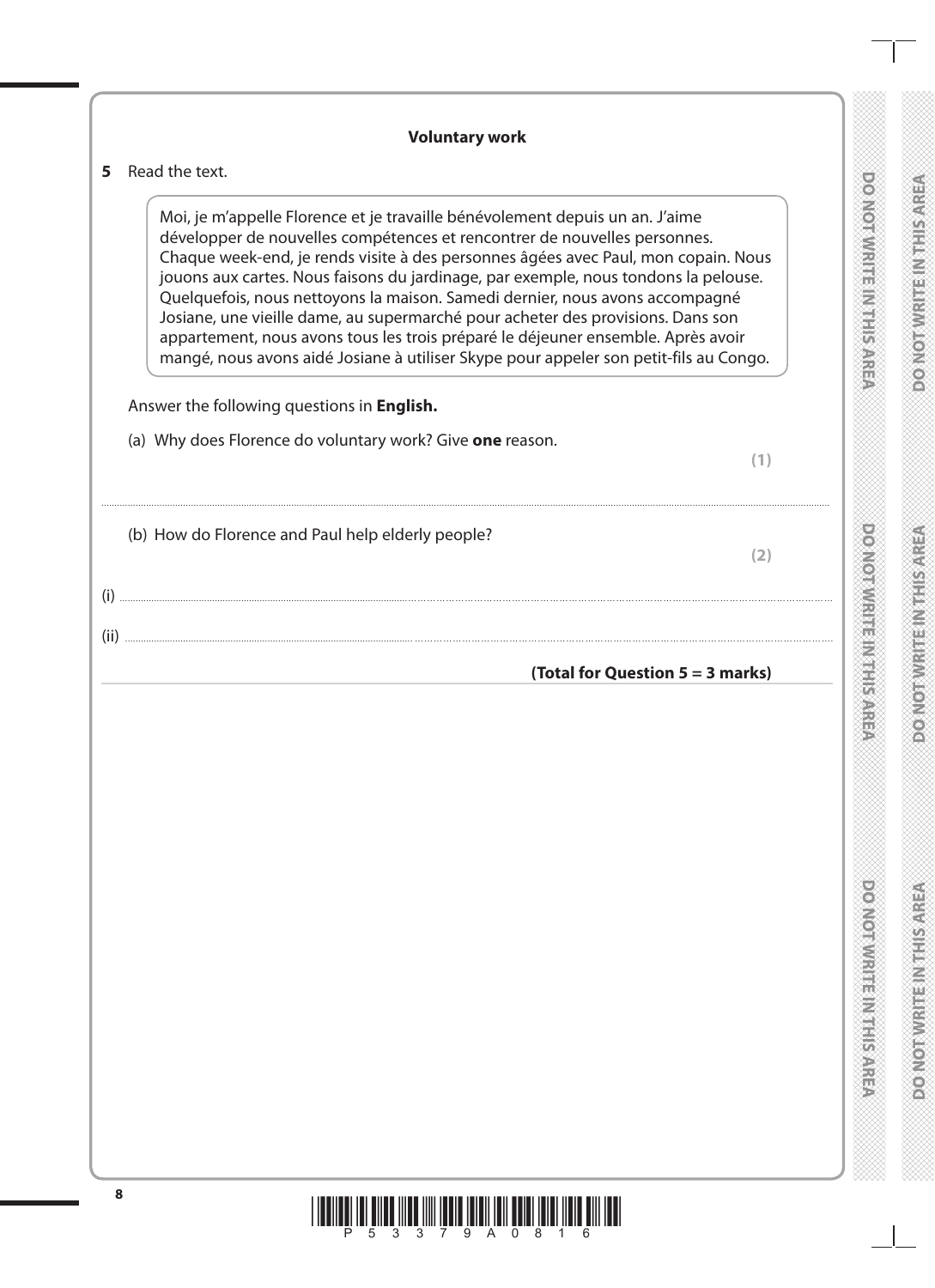| 5     | <b>Voluntary work</b><br>Read the text.                                                                                                                                                                                                                                                                                                                                                                                                                                                                                                                                                                                                                                                |                                |                                        |
|-------|----------------------------------------------------------------------------------------------------------------------------------------------------------------------------------------------------------------------------------------------------------------------------------------------------------------------------------------------------------------------------------------------------------------------------------------------------------------------------------------------------------------------------------------------------------------------------------------------------------------------------------------------------------------------------------------|--------------------------------|----------------------------------------|
|       | Moi, je m'appelle Florence et je travaille bénévolement depuis un an. J'aime<br>développer de nouvelles compétences et rencontrer de nouvelles personnes.<br>Chaque week-end, je rends visite à des personnes âgées avec Paul, mon copain. Nous<br>jouons aux cartes. Nous faisons du jardinage, par exemple, nous tondons la pelouse.<br>Quelquefois, nous nettoyons la maison. Samedi dernier, nous avons accompagné<br>Josiane, une vieille dame, au supermarché pour acheter des provisions. Dans son<br>appartement, nous avons tous les trois préparé le déjeuner ensemble. Après avoir<br>mangé, nous avons aidé Josiane à utiliser Skype pour appeler son petit-fils au Congo. | Ľ                              |                                        |
|       | Answer the following questions in English.                                                                                                                                                                                                                                                                                                                                                                                                                                                                                                                                                                                                                                             |                                |                                        |
|       | (a) Why does Florence do voluntary work? Give one reason.<br>(1)                                                                                                                                                                                                                                                                                                                                                                                                                                                                                                                                                                                                                       |                                |                                        |
|       | (b) How do Florence and Paul help elderly people?<br>(2)                                                                                                                                                                                                                                                                                                                                                                                                                                                                                                                                                                                                                               |                                |                                        |
| $(i)$ |                                                                                                                                                                                                                                                                                                                                                                                                                                                                                                                                                                                                                                                                                        | <b>MERCHANO</b>                |                                        |
| (ii)  | (Total for Question 5 = 3 marks)                                                                                                                                                                                                                                                                                                                                                                                                                                                                                                                                                                                                                                                       |                                |                                        |
|       |                                                                                                                                                                                                                                                                                                                                                                                                                                                                                                                                                                                                                                                                                        |                                |                                        |
|       |                                                                                                                                                                                                                                                                                                                                                                                                                                                                                                                                                                                                                                                                                        | <b>Device Mission Sections</b> | <b>REPARED IN A PARTICULAR CONTROL</b> |
| 8     |                                                                                                                                                                                                                                                                                                                                                                                                                                                                                                                                                                                                                                                                                        |                                |                                        |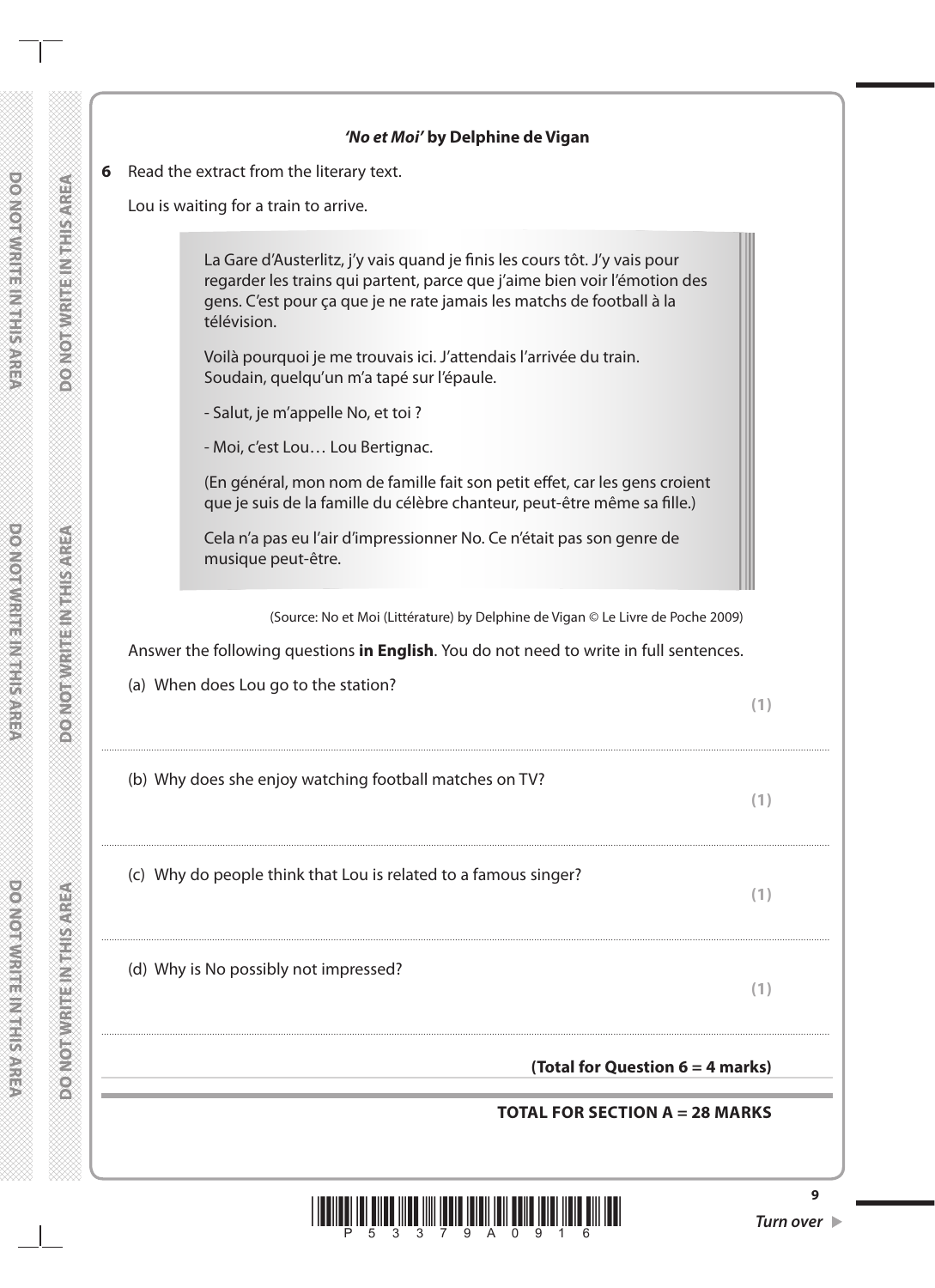| 'No et Moi' by Delphine de Vigan                                                                                                                                                                                                                |                          |
|-------------------------------------------------------------------------------------------------------------------------------------------------------------------------------------------------------------------------------------------------|--------------------------|
| Read the extract from the literary text.                                                                                                                                                                                                        |                          |
| Lou is waiting for a train to arrive.                                                                                                                                                                                                           |                          |
| La Gare d'Austerlitz, j'y vais quand je finis les cours tôt. J'y vais pour<br>regarder les trains qui partent, parce que j'aime bien voir l'émotion des<br>gens. C'est pour ça que je ne rate jamais les matchs de football à la<br>télévision. |                          |
| Voilà pourquoi je me trouvais ici. J'attendais l'arrivée du train.<br>Soudain, quelqu'un m'a tapé sur l'épaule.                                                                                                                                 |                          |
| - Salut, je m'appelle No, et toi ?                                                                                                                                                                                                              |                          |
| - Moi, c'est Lou Lou Bertignac.                                                                                                                                                                                                                 |                          |
| (En général, mon nom de famille fait son petit effet, car les gens croient<br>que je suis de la famille du célèbre chanteur, peut-être même sa fille.)                                                                                          |                          |
| Cela n'a pas eu l'air d'impressionner No. Ce n'était pas son genre de<br>musique peut-être.                                                                                                                                                     |                          |
|                                                                                                                                                                                                                                                 |                          |
| (Source: No et Moi (Littérature) by Delphine de Vigan © Le Livre de Poche 2009)                                                                                                                                                                 |                          |
| Answer the following questions in English. You do not need to write in full sentences.                                                                                                                                                          |                          |
| (a) When does Lou go to the station?                                                                                                                                                                                                            |                          |
| (b) Why does she enjoy watching football matches on TV?                                                                                                                                                                                         |                          |
| (c) Why do people think that Lou is related to a famous singer?                                                                                                                                                                                 |                          |
| (d) Why is No possibly not impressed?                                                                                                                                                                                                           |                          |
| (Total for Question $6 = 4$ marks)                                                                                                                                                                                                              | (1)<br>(1)<br>(1)<br>(1) |

 $\Box$ 

DO NOTWRITE INTHISAREA

**DOMORWHEIMENTSARE** 

**DO NOT WRITEINITHIS AREA** 

 $\Box$ 

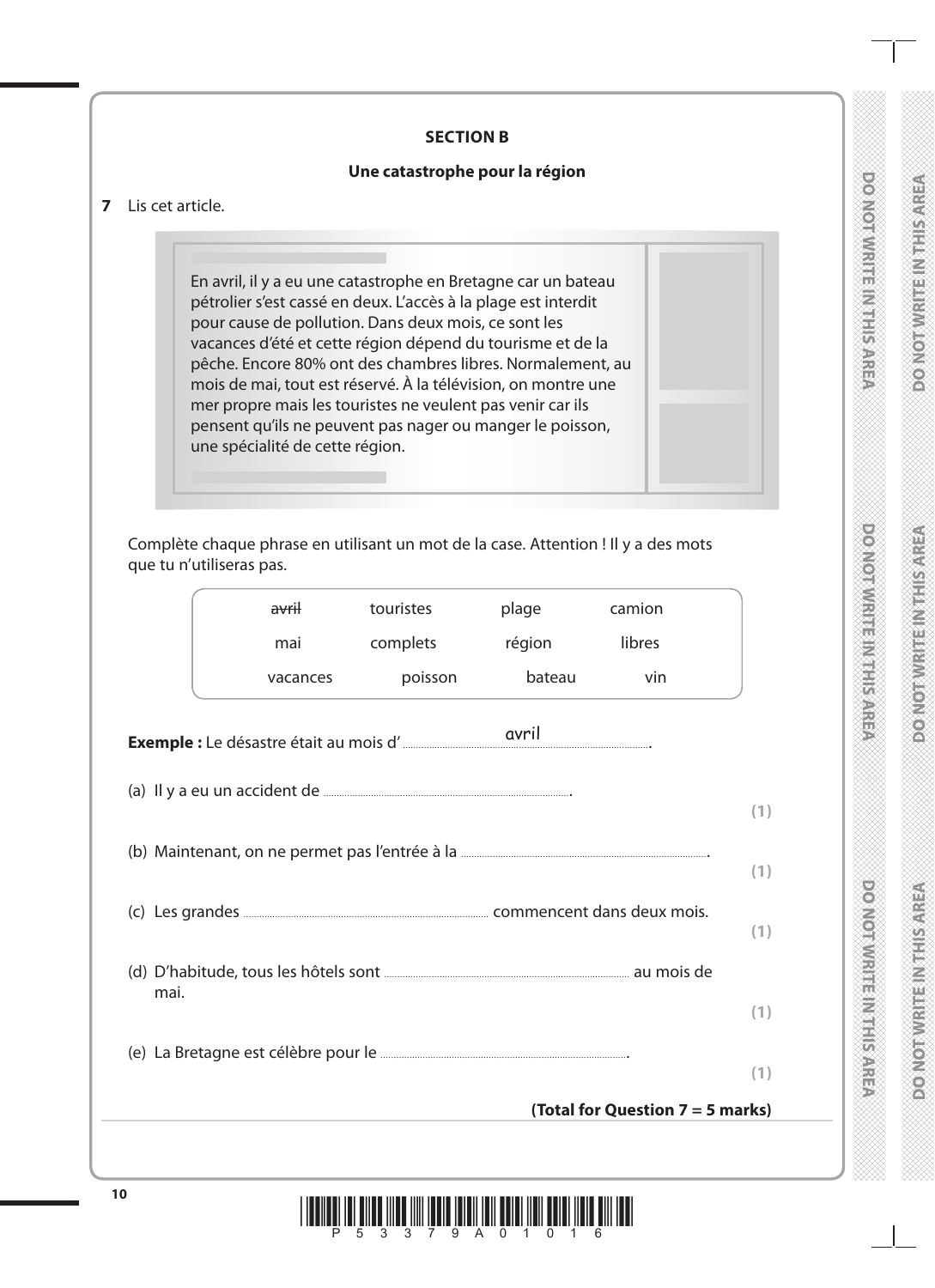### **SECTION B**

### **Une catastrophe pour la région**

### **7** Lis cet article.

En avril, il y a eu une catastrophe en Bretagne car un bateau pétrolier s'est cassé en deux. L'accès à la plage est interdit pour cause de pollution. Dans deux mois, ce sont les vacances d'été et cette région dépend du tourisme et de la pêche. Encore 80% ont des chambres libres. Normalement, au mois de mai, tout est réservé. À la télévision, on montre une mer propre mais les touristes ne veulent pas venir car ils pensent qu'ils ne peuvent pas nager ou manger le poisson, une spécialité de cette région.

Complète chaque phrase en utilisant un mot de la case. Attention ! Il y a des mots que tu n'utiliseras pas.

|             | avril    | touristes | plage  | camion                             |     |  |  |
|-------------|----------|-----------|--------|------------------------------------|-----|--|--|
|             | mai      | complets  | région | libres                             |     |  |  |
|             | vacances | poisson   | bateau | vin                                |     |  |  |
|             |          |           |        |                                    |     |  |  |
|             |          |           |        |                                    | (1) |  |  |
|             |          |           |        |                                    | (1) |  |  |
|             |          |           |        |                                    |     |  |  |
| (1)<br>mai. |          |           |        |                                    |     |  |  |
| (1)         |          |           |        |                                    |     |  |  |
|             |          |           |        |                                    | (1) |  |  |
|             |          |           |        | (Total for Question $7 = 5$ marks) |     |  |  |



**PORTOR WEBSTERS** 

**DONOS REPORTS NO PROTECT** 

**RECIVED IN THE REPORT OF STRONG** 

**DOCKLOSK WRITING HIS AREA**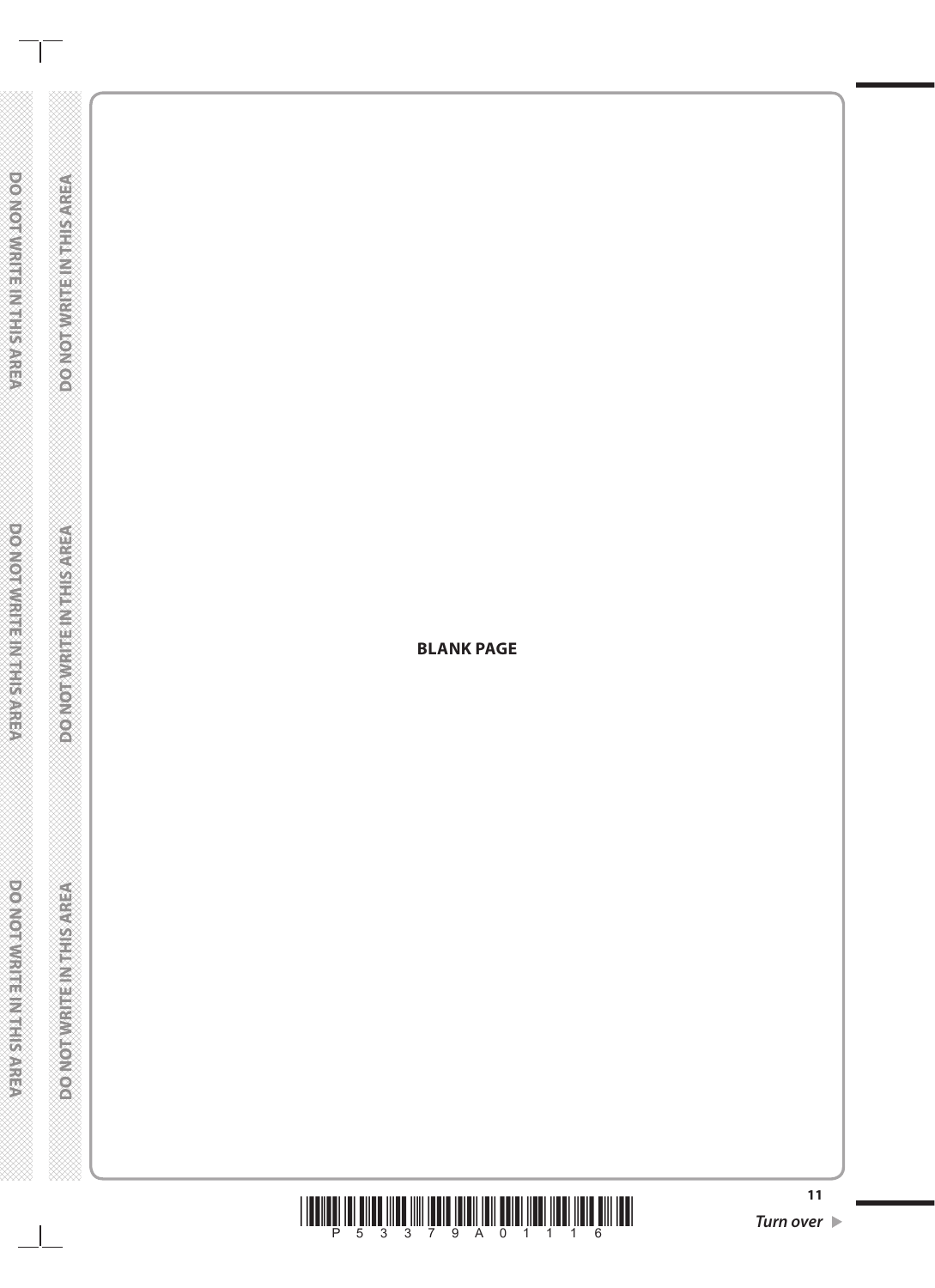|   | ó  |   | I |  |  |
|---|----|---|---|--|--|
|   |    |   |   |  |  |
|   |    |   |   |  |  |
|   |    |   |   |  |  |
|   |    |   |   |  |  |
|   | ù  |   |   |  |  |
|   |    |   |   |  |  |
|   |    |   |   |  |  |
|   | ž. |   |   |  |  |
|   |    |   |   |  |  |
|   | á  |   | ì |  |  |
|   |    |   |   |  |  |
|   | ¢  |   |   |  |  |
|   |    |   |   |  |  |
|   | ₩  |   |   |  |  |
|   |    |   |   |  |  |
|   |    |   |   |  |  |
|   |    |   |   |  |  |
|   | ₩  |   |   |  |  |
|   |    |   |   |  |  |
|   | Š  |   |   |  |  |
|   |    |   |   |  |  |
|   |    |   |   |  |  |
|   |    |   | ţ |  |  |
|   |    |   |   |  |  |
|   |    |   |   |  |  |
|   |    |   |   |  |  |
|   | Î  |   | ì |  |  |
|   |    |   |   |  |  |
|   | ₩  |   |   |  |  |
|   |    |   |   |  |  |
|   |    |   |   |  |  |
|   |    |   |   |  |  |
|   |    |   |   |  |  |
|   |    |   |   |  |  |
|   |    |   |   |  |  |
|   |    |   |   |  |  |
|   | ⇔  |   |   |  |  |
|   |    |   |   |  |  |
|   | ×  |   |   |  |  |
|   |    |   |   |  |  |
|   | ×  | H |   |  |  |
|   |    |   |   |  |  |
|   |    |   |   |  |  |
|   | ⇔  |   |   |  |  |
|   |    |   |   |  |  |
|   | ≅  | m |   |  |  |
|   |    |   |   |  |  |
|   |    |   |   |  |  |
|   |    |   |   |  |  |
|   | ì  |   |   |  |  |
|   |    |   |   |  |  |
| į |    |   |   |  |  |
|   | ţ  |   |   |  |  |
|   |    |   |   |  |  |
|   |    |   |   |  |  |
|   |    |   |   |  |  |
|   |    |   |   |  |  |
|   |    |   |   |  |  |
|   | Ì  |   |   |  |  |
|   |    |   |   |  |  |
|   |    |   |   |  |  |
|   |    |   |   |  |  |
|   | Ì  |   |   |  |  |
|   |    |   |   |  |  |
|   |    |   |   |  |  |
|   |    |   |   |  |  |
| ï | t  |   |   |  |  |
|   |    |   |   |  |  |
|   |    |   |   |  |  |
|   |    |   |   |  |  |
|   |    |   |   |  |  |
|   |    |   |   |  |  |

**DOMOTWRITEIN THIS AREA** 

DO NOTWRITE MITHIS AREA

**DOMORWARE IN THIS AREA** 

**DOMORWARE MARIA PAREA** 

DONOT WRITEIN THIS AREA

### **BLANK PAGE**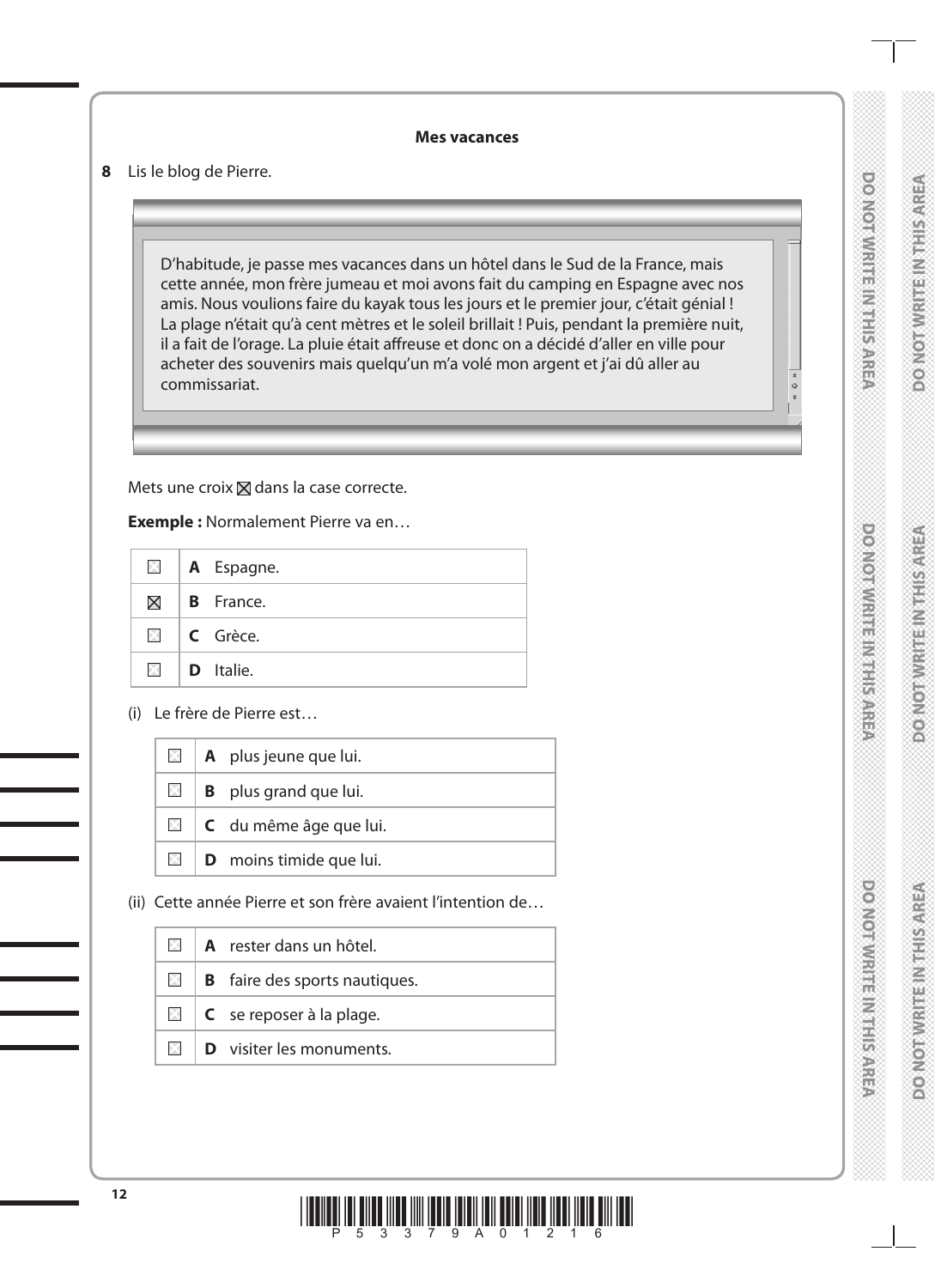### **Mes vacances**

**8** Lis le blog de Pierre.

D'habitude, je passe mes vacances dans un hôtel dans le Sud de la France, mais cette année, mon frère jumeau et moi avons fait du camping en Espagne avec nos amis. Nous voulions faire du kayak tous les jours et le premier jour, c'était génial ! La plage n'était qu'à cent mètres et le soleil brillait ! Puis, pendant la première nuit, il a fait de l'orage. La pluie était affreuse et donc on a décidé d'aller en ville pour acheter des souvenirs mais quelqu'un m'a volé mon argent et j'ai dû aller au commissariat.

Mets une croix  $\boxtimes$  dans la case correcte.

**Exemple :** Normalement Pierre va en…

| $\Box$   <b>A</b> Espagne.   |
|------------------------------|
| $\boxtimes$ <b>B</b> France. |
| $\Box$ $\Box$ Grèce.         |
| $\boxtimes$ D Italie.        |

(i) Le frère de Pierre est…

| $\boxtimes$ 1 | <b>A</b> plus jeune que lui.                 |
|---------------|----------------------------------------------|
|               | $\mathbb{Z}$   <b>B</b> plus grand que lui.  |
|               | $\mathbb{Z}$   <b>C</b> du même âge que lui. |
|               | $\Box$ <b>D</b> moins timide que lui.        |

(ii) Cette année Pierre et son frère avaient l'intention de…

|  | $\boxtimes$   <b>A</b> rester dans un hôtel.   |
|--|------------------------------------------------|
|  | $\Box$   <b>B</b> faire des sports nautiques.  |
|  | $\Box$ <b>C</b> se reposer à la plage.         |
|  | $\blacksquare$ <b>D</b> visiter les monuments. |



**RECIVED IN THE REPORT OF STRONG** 

**PORTOR WEBSTERS** 

**DO NOT MARKET AND A STREET STREET** 

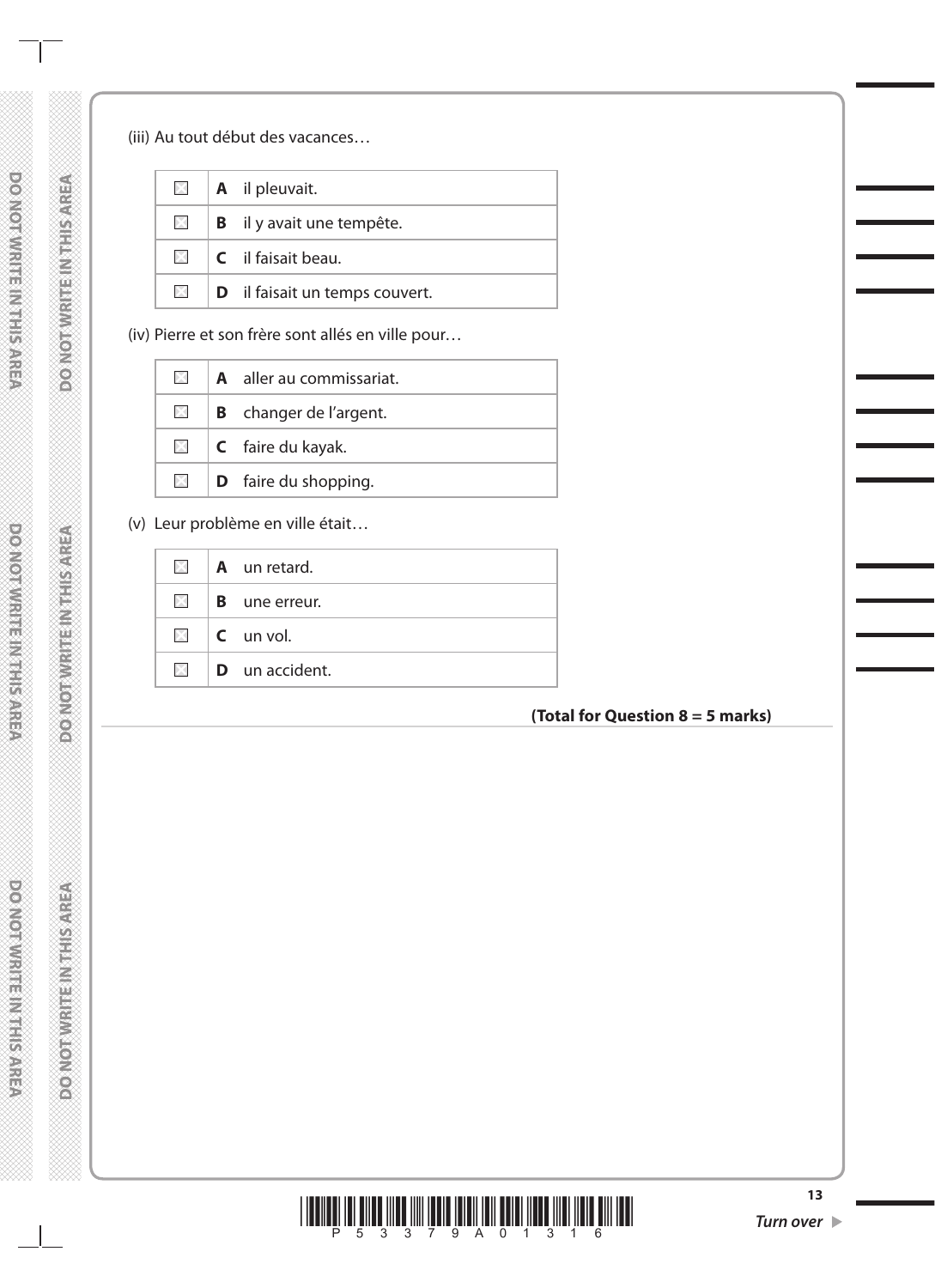(iii) Au tout début des vacances…

|          | $\Box$   <b>A</b> il pleuvait.                                                                                                                                                                                                                                                                                                                                                                                                                                                               |
|----------|----------------------------------------------------------------------------------------------------------------------------------------------------------------------------------------------------------------------------------------------------------------------------------------------------------------------------------------------------------------------------------------------------------------------------------------------------------------------------------------------|
| $\times$ | <b>B</b> il y avait une tempête.                                                                                                                                                                                                                                                                                                                                                                                                                                                             |
|          | $\boxtimes$ $\blacksquare$ $\blacksquare$ $\blacksquare$ $\blacksquare$ $\blacksquare$ $\blacksquare$ $\blacksquare$ $\blacksquare$ $\blacksquare$ $\blacksquare$ $\blacksquare$ $\blacksquare$ $\blacksquare$ $\blacksquare$ $\blacksquare$ $\blacksquare$ $\blacksquare$ $\blacksquare$ $\blacksquare$ $\blacksquare$ $\blacksquare$ $\blacksquare$ $\blacksquare$ $\blacksquare$ $\blacksquare$ $\blacksquare$ $\blacksquare$ $\blacksquare$ $\blacksquare$ $\blacksquare$ $\blacksquare$ |
|          | $\Box$ <b>D</b> il faisait un temps couvert.                                                                                                                                                                                                                                                                                                                                                                                                                                                 |

(iv) Pierre et son frère sont allés en ville pour…

| $\times$       | <b>A</b> aller au commissariat. |
|----------------|---------------------------------|
| $\boxtimes$    | <b>B</b> changer de l'argent.   |
|                | $\Box$ <b>C</b> faire du kayak. |
| $\mathsf{X}$ . | <b>D</b> faire du shopping.     |

(v) Leur problème en ville était…

|              | $\blacksquare$   A un retard.                                                                                                                      |
|--------------|----------------------------------------------------------------------------------------------------------------------------------------------------|
| $\mathsf{X}$ | <b>B</b> une erreur.                                                                                                                               |
|              | $\boxtimes$ $\blacksquare$ $\blacksquare$ $\blacksquare$ $\blacksquare$ $\blacksquare$ $\blacksquare$ $\blacksquare$ $\blacksquare$ $\blacksquare$ |
| $\mathsf{X}$ | <b>D</b> un accident.                                                                                                                              |

# **(Total for Question 8 = 5 marks)**



**DO NOTWRITEINITE SAFE** 

**CENTRAL PRODUCTIONS OF PRODUCT** 

**DONOTWRITEN MILLISTRIER**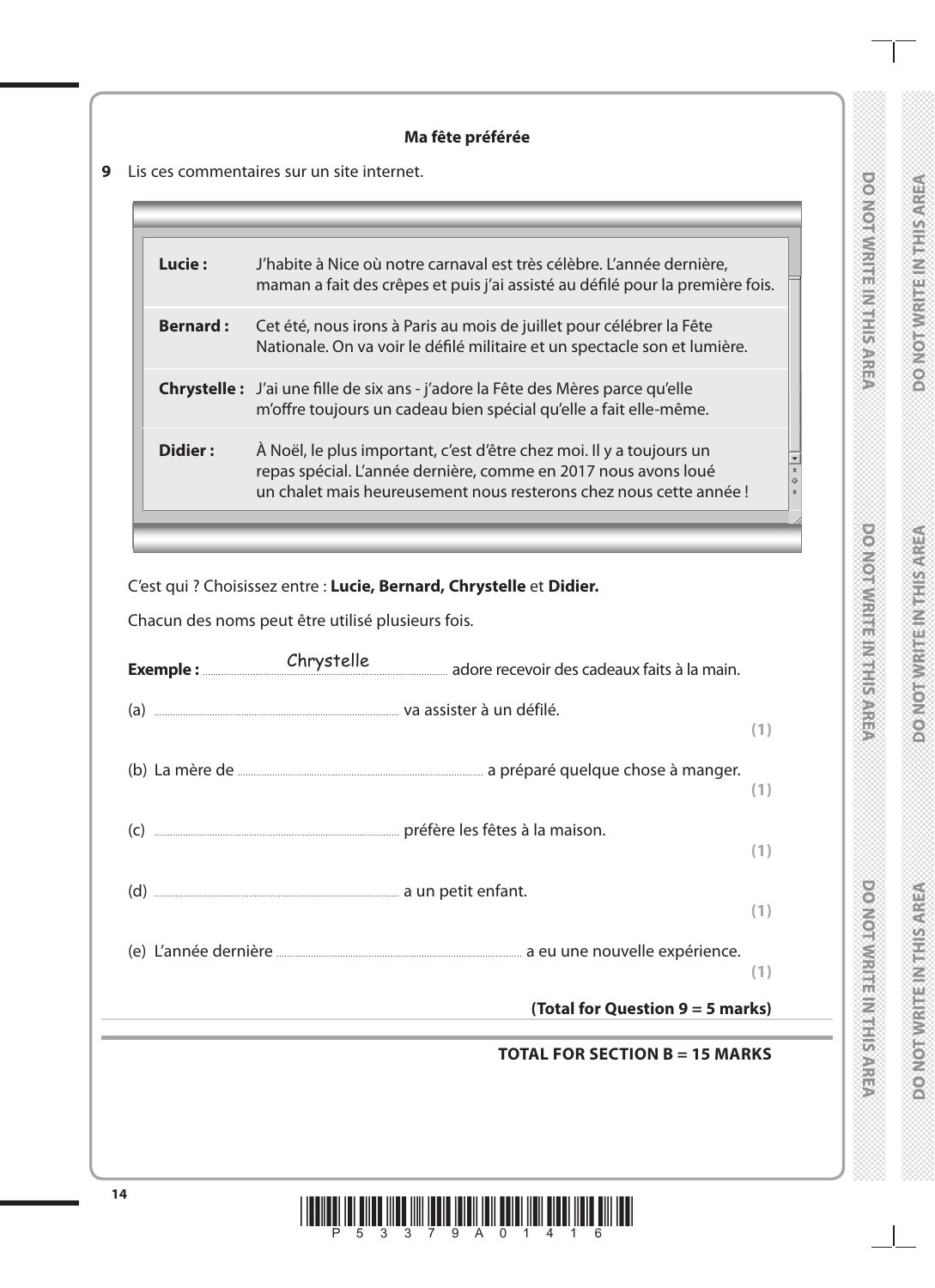# **DONOTWRITEINITISAREA**

DONOTWRITE IN THIS AREA

**DONOTWERE INTHIS AREA** 

**DOMOROVIES IN STREET** 

**DONOTWIRES MILLION OF** 

# **Ma fête préférée**

**9** Lis ces commentaires sur un site internet.

| Lucie:          |                                                                                                                                                              | J'habite à Nice où notre carnaval est très célèbre. L'année dernière,<br>maman a fait des crêpes et puis j'ai assisté au défilé pour la première fois.                                                       |  |  |  |
|-----------------|--------------------------------------------------------------------------------------------------------------------------------------------------------------|--------------------------------------------------------------------------------------------------------------------------------------------------------------------------------------------------------------|--|--|--|
| <b>Bernard:</b> |                                                                                                                                                              | Cet été, nous irons à Paris au mois de juillet pour célébrer la Fête<br>Nationale. On va voir le défilé militaire et un spectacle son et lumière.                                                            |  |  |  |
|                 | <b>Chrystelle :</b> J'ai une fille de six ans - j'adore la Fête des Mères parce qu'elle<br>m'offre toujours un cadeau bien spécial qu'elle a fait elle-même. |                                                                                                                                                                                                              |  |  |  |
| <b>Didier:</b>  |                                                                                                                                                              | À Noël, le plus important, c'est d'être chez moi. Il y a toujours un<br>repas spécial. L'année dernière, comme en 2017 nous avons loué<br>un chalet mais heureusement nous resterons chez nous cette année ! |  |  |  |
|                 |                                                                                                                                                              | C'est qui ? Choisissez entre : Lucie, Bernard, Chrystelle et Didier.                                                                                                                                         |  |  |  |
|                 |                                                                                                                                                              |                                                                                                                                                                                                              |  |  |  |
|                 | Chacun des noms peut être utilisé plusieurs fois.                                                                                                            |                                                                                                                                                                                                              |  |  |  |
|                 |                                                                                                                                                              | Exemple : Chrystelle Chrystelle Chrystelle adore recevoir des cadeaux faits à la main.                                                                                                                       |  |  |  |
|                 |                                                                                                                                                              |                                                                                                                                                                                                              |  |  |  |
|                 |                                                                                                                                                              | (1)<br>(1)                                                                                                                                                                                                   |  |  |  |
|                 |                                                                                                                                                              | (1)                                                                                                                                                                                                          |  |  |  |
|                 |                                                                                                                                                              | (1)                                                                                                                                                                                                          |  |  |  |
|                 |                                                                                                                                                              | (1)                                                                                                                                                                                                          |  |  |  |
|                 |                                                                                                                                                              | (Total for Question $9 = 5$ marks)                                                                                                                                                                           |  |  |  |

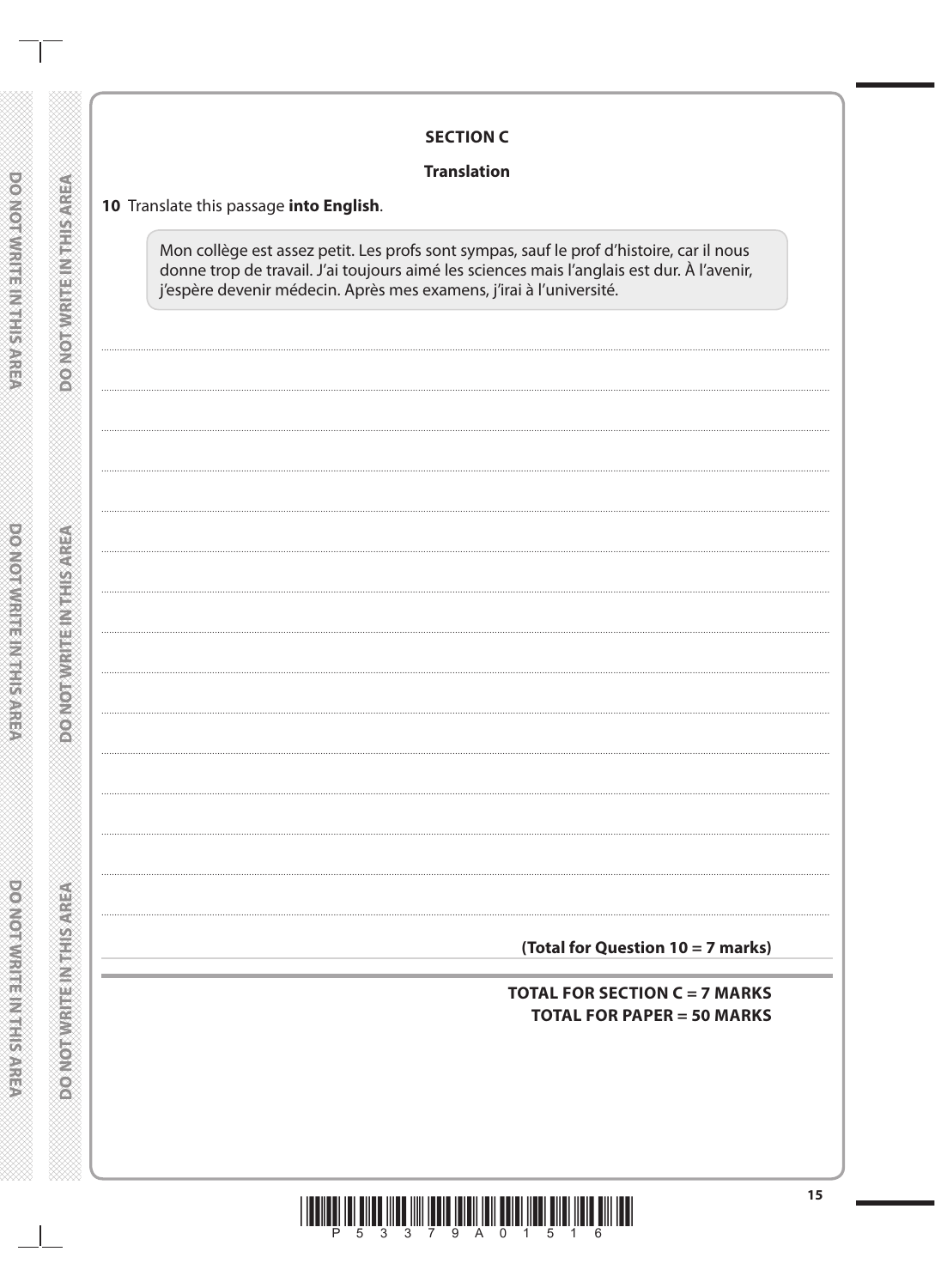| <b>SECTION C</b> |  |  |
|------------------|--|--|
|                  |  |  |

### **Translation**

### 10 Translate this passage into English.

Mon collège est assez petit. Les profs sont sympas, sauf le prof d'histoire, car il nous donne trop de travail. J'ai toujours aimé les sciences mais l'anglais est dur. À l'avenir, j'espère devenir médecin. Après mes examens, j'irai à l'université.

(Total for Question 10 = 7 marks)

# **TOTAL FOR SECTION C = 7 MARKS TOTAL FOR PAPER = 50 MARKS**



**DONOTHING HINGIONO** 

**DOATOF WRITEIN IT: ISSNRES** 

**DOMORWRITEINITH SWREA**